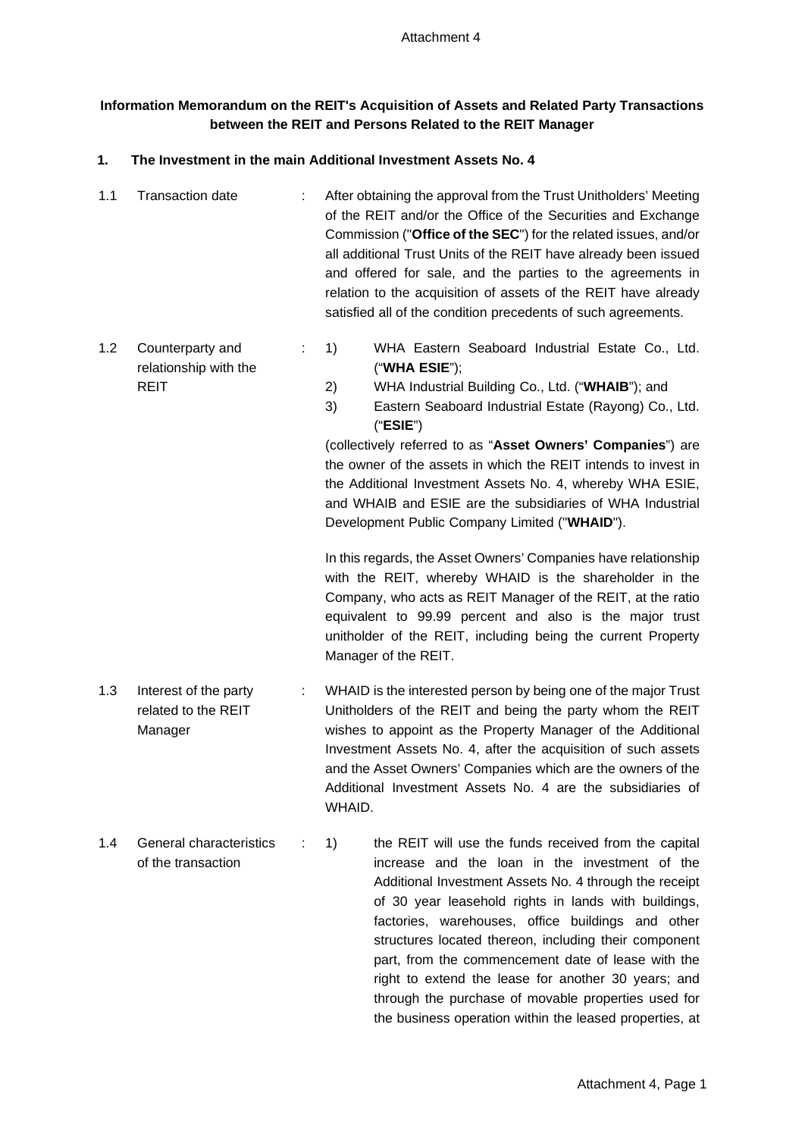# **Information Memorandum on the REIT's Acquisition of Assets and Related Party Transactions between the REIT and Persons Related to the REIT Manager**

### **1. The Investment in the main Additional Investment Assets No. 4**

- 1.1 Transaction date : After obtaining the approval from the Trust Unitholders' Meeting of the REIT and/or the Office of the Securities and Exchange Commission ("**Office of the SEC**") for the related issues, and/or all additional Trust Units of the REIT have already been issued and offered for sale, and the parties to the agreements in relation to the acquisition of assets of the REIT have already satisfied all of the condition precedents of such agreements.
- 1.2 Counterparty and relationship with the REIT : 1) WHA Eastern Seaboard Industrial Estate Co., Ltd. ("**WHA ESIE**"); 2) WHA Industrial Building Co., Ltd. ("**WHAIB**"); and
	- 3) Eastern Seaboard Industrial Estate (Rayong) Co., Ltd. ("**ESIE**")

(collectively referred to as "**Asset Owners' Companies**") are the owner of the assets in which the REIT intends to invest in the Additional Investment Assets No. 4, whereby WHA ESIE, and WHAIB and ESIE are the subsidiaries of WHA Industrial Development Public Company Limited ("**WHAID**").

In this regards, the Asset Owners' Companies have relationship with the REIT, whereby WHAID is the shareholder in the Company, who acts as REIT Manager of the REIT, at the ratio equivalent to 99.99 percent and also is the major trust unitholder of the REIT, including being the current Property Manager of the REIT.

- 1.3 Interest of the party related to the REIT Manager : WHAID is the interested person by being one of the major Trust Unitholders of the REIT and being the party whom the REIT wishes to appoint as the Property Manager of the Additional Investment Assets No. 4, after the acquisition of such assets and the Asset Owners' Companies which are the owners of the Additional Investment Assets No. 4 are the subsidiaries of WHAID.
- 1.4 General characteristics of the transaction : 1) the REIT will use the funds received from the capital increase and the loan in the investment of the Additional Investment Assets No. 4 through the receipt of 30 year leasehold rights in lands with buildings, factories, warehouses, office buildings and other structures located thereon, including their component part, from the commencement date of lease with the right to extend the lease for another 30 years; and through the purchase of movable properties used for the business operation within the leased properties, at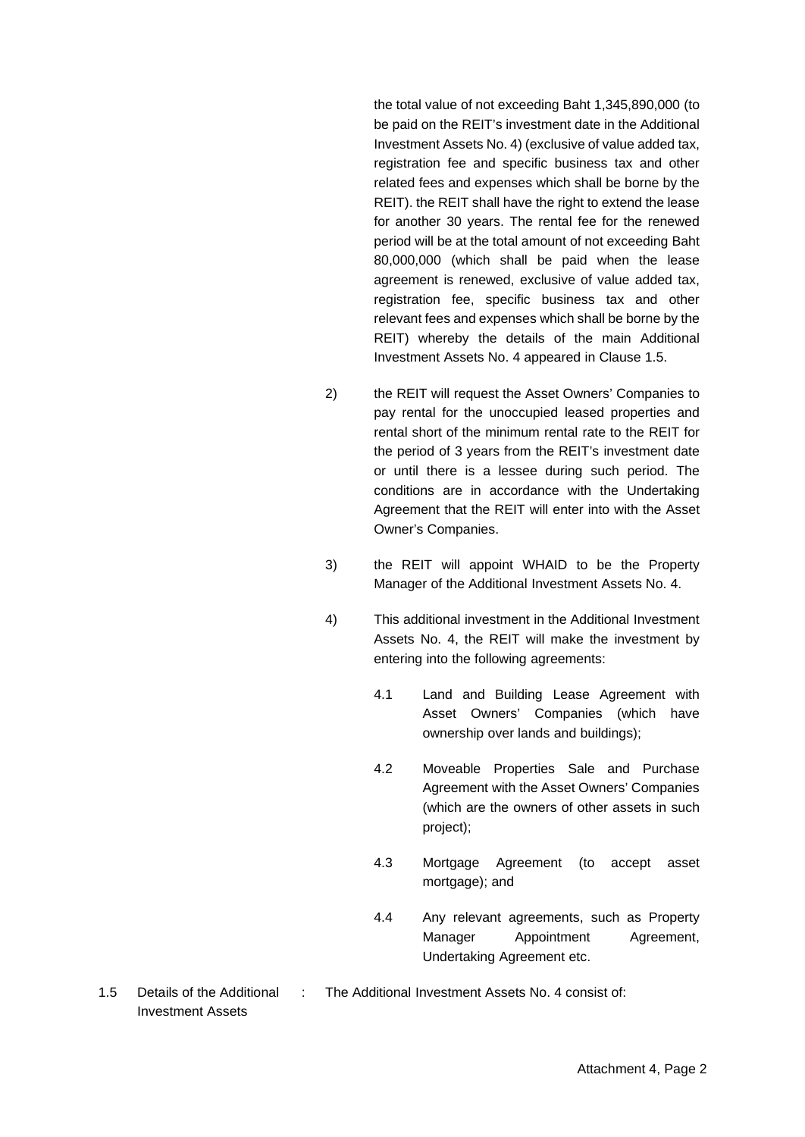the total value of not exceeding Baht 1,345,890,000 (to be paid on the REIT's investment date in the Additional Investment Assets No. 4) (exclusive of value added tax, registration fee and specific business tax and other related fees and expenses which shall be borne by the REIT). the REIT shall have the right to extend the lease for another 30 years. The rental fee for the renewed period will be at the total amount of not exceeding Baht 80,000,000 (which shall be paid when the lease agreement is renewed, exclusive of value added tax, registration fee, specific business tax and other relevant fees and expenses which shall be borne by the REIT) whereby the details of the main Additional Investment Assets No. 4 appeared in Clause 1.5.

- 2) the REIT will request the Asset Owners' Companies to pay rental for the unoccupied leased properties and rental short of the minimum rental rate to the REIT for the period of 3 years from the REIT's investment date or until there is a lessee during such period. The conditions are in accordance with the Undertaking Agreement that the REIT will enter into with the Asset Owner's Companies.
- 3) the REIT will appoint WHAID to be the Property Manager of the Additional Investment Assets No. 4.
- 4) This additional investment in the Additional Investment Assets No. 4, the REIT will make the investment by entering into the following agreements:
	- 4.1 Land and Building Lease Agreement with Asset Owners' Companies (which have ownership over lands and buildings);
	- 4.2 Moveable Properties Sale and Purchase Agreement with the Asset Owners' Companies (which are the owners of other assets in such project);
	- 4.3 Mortgage Agreement (to accept asset mortgage); and
	- 4.4 Any relevant agreements, such as Property Manager Appointment Agreement, Undertaking Agreement etc.
- : The Additional Investment Assets No. 4 consist of:

1.5 Details of the Additional Investment Assets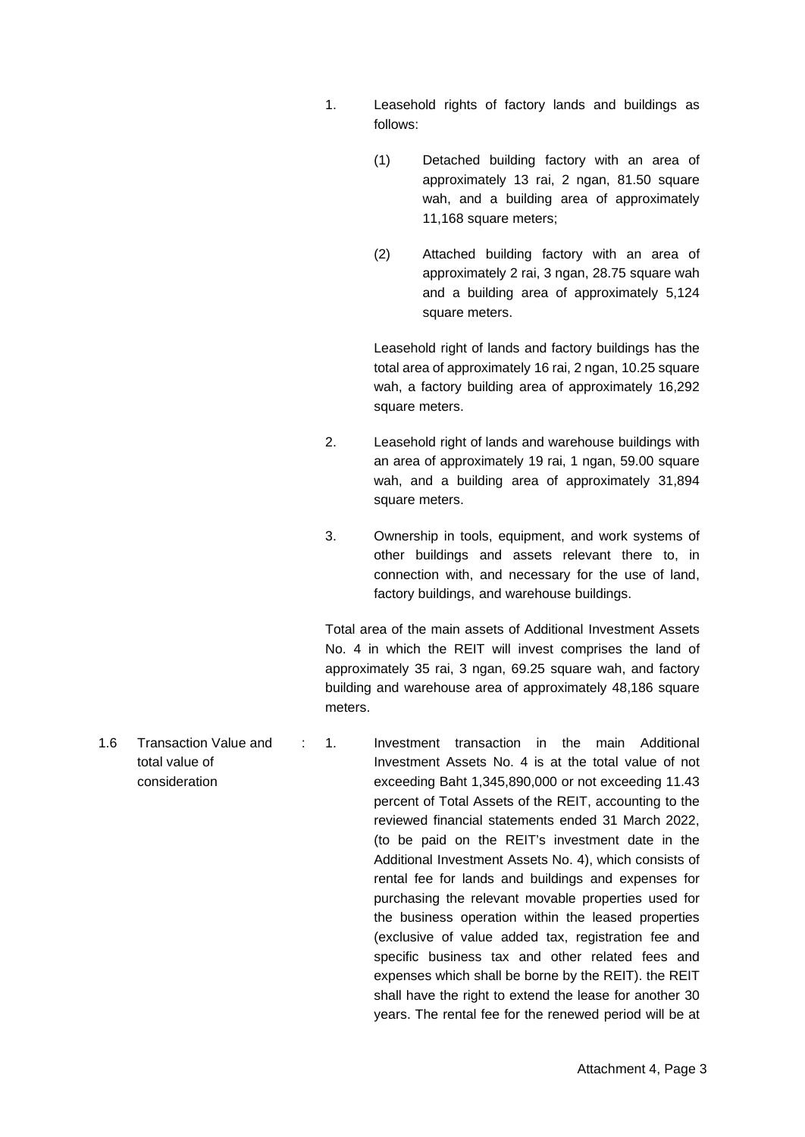- 1. Leasehold rights of factory lands and buildings as follows:
	- (1) Detached building factory with an area of approximately 13 rai, 2 ngan, 81.50 square wah, and a building area of approximately 11,168 square meters;
	- (2) Attached building factory with an area of approximately 2 rai, 3 ngan, 28.75 square wah and a building area of approximately 5,124 square meters.

Leasehold right of lands and factory buildings has the total area of approximately 16 rai, 2 ngan, 10.25 square wah, a factory building area of approximately 16,292 square meters.

- 2. Leasehold right of lands and warehouse buildings with an area of approximately 19 rai, 1 ngan, 59.00 square wah, and a building area of approximately 31,894 square meters.
- 3. Ownership in tools, equipment, and work systems of other buildings and assets relevant there to, in connection with, and necessary for the use of land, factory buildings, and warehouse buildings.

Total area of the main assets of Additional Investment Assets No. 4 in which the REIT will invest comprises the land of approximately 35 rai, 3 ngan, 69.25 square wah, and factory building and warehouse area of approximately 48,186 square meters.

total value of consideration : 1. Investment transaction in the main Additional Investment Assets No. 4 is at the total value of not exceeding Baht 1,345,890,000 or not exceeding 11.43 percent of Total Assets of the REIT, accounting to the reviewed financial statements ended 31 March 2022, (to be paid on the REIT's investment date in the Additional Investment Assets No. 4), which consists of rental fee for lands and buildings and expenses for purchasing the relevant movable properties used for the business operation within the leased properties (exclusive of value added tax, registration fee and specific business tax and other related fees and expenses which shall be borne by the REIT). the REIT shall have the right to extend the lease for another 30 years. The rental fee for the renewed period will be at

1.6 Transaction Value and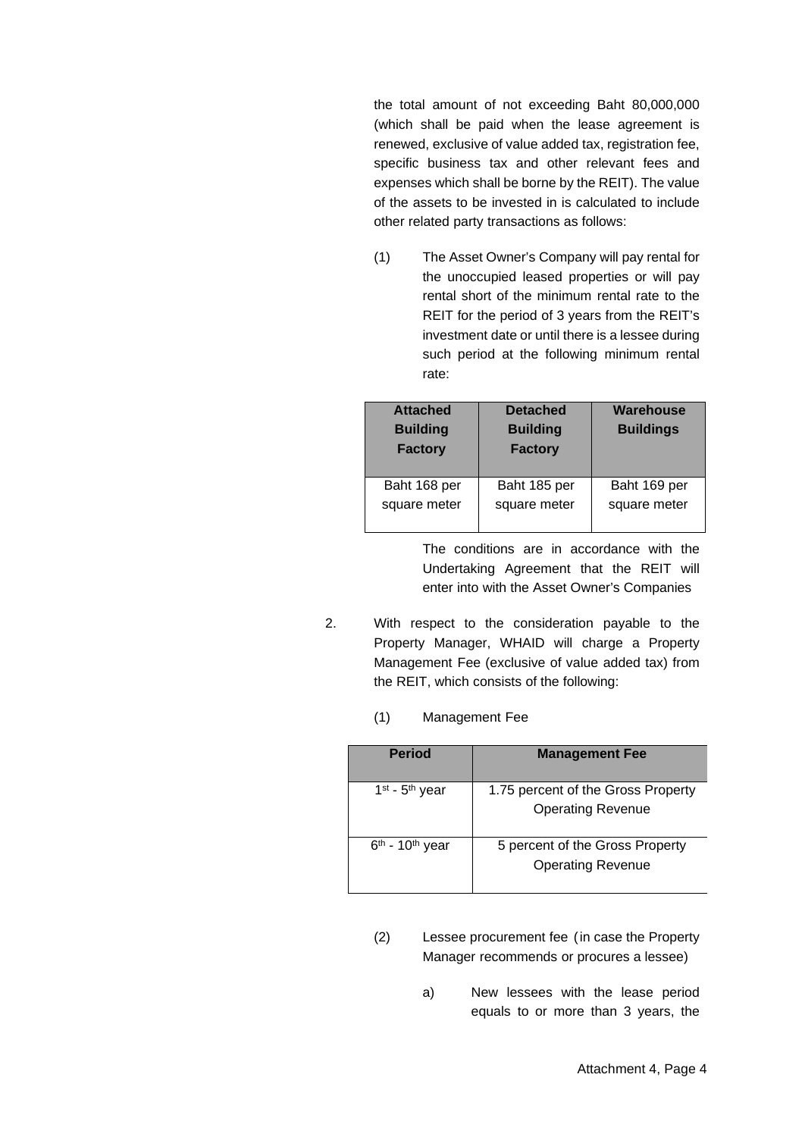the total amount of not exceeding Baht 80,000,000 (which shall be paid when the lease agreement is renewed, exclusive of value added tax, registration fee, specific business tax and other relevant fees and expenses which shall be borne by the REIT). The value of the assets to be invested in is calculated to include other related party transactions as follows:

(1) The Asset Owner's Company will pay rental for the unoccupied leased properties or will pay rental short of the minimum rental rate to the REIT for the period of 3 years from the REIT's investment date or until there is a lessee during such period at the following minimum rental rate:

| <b>Attached</b><br><b>Building</b><br><b>Factory</b> | <b>Detached</b><br><b>Building</b><br><b>Factory</b> | Warehouse<br><b>Buildings</b> |
|------------------------------------------------------|------------------------------------------------------|-------------------------------|
| Baht 168 per                                         | Baht 185 per                                         | Baht 169 per                  |
| square meter                                         | square meter                                         | square meter                  |

The conditions are in accordance with the Undertaking Agreement that the REIT will enter into with the Asset Owner's Companies

- 2. With respect to the consideration payable to the Property Manager, WHAID will charge a Property Management Fee (exclusive of value added tax) from the REIT, which consists of the following:
	- (1) Management Fee

| <b>Period</b>                 | <b>Management Fee</b>                                          |
|-------------------------------|----------------------------------------------------------------|
| $1st$ - $5th$ year            | 1.75 percent of the Gross Property<br><b>Operating Revenue</b> |
| $6th$ - 10 <sup>th</sup> year | 5 percent of the Gross Property<br><b>Operating Revenue</b>    |

- (2) Lessee procurement fee (in case the Property Manager recommends or procures a lessee)
	- a) New lessees with the lease period equals to or more than 3 years, the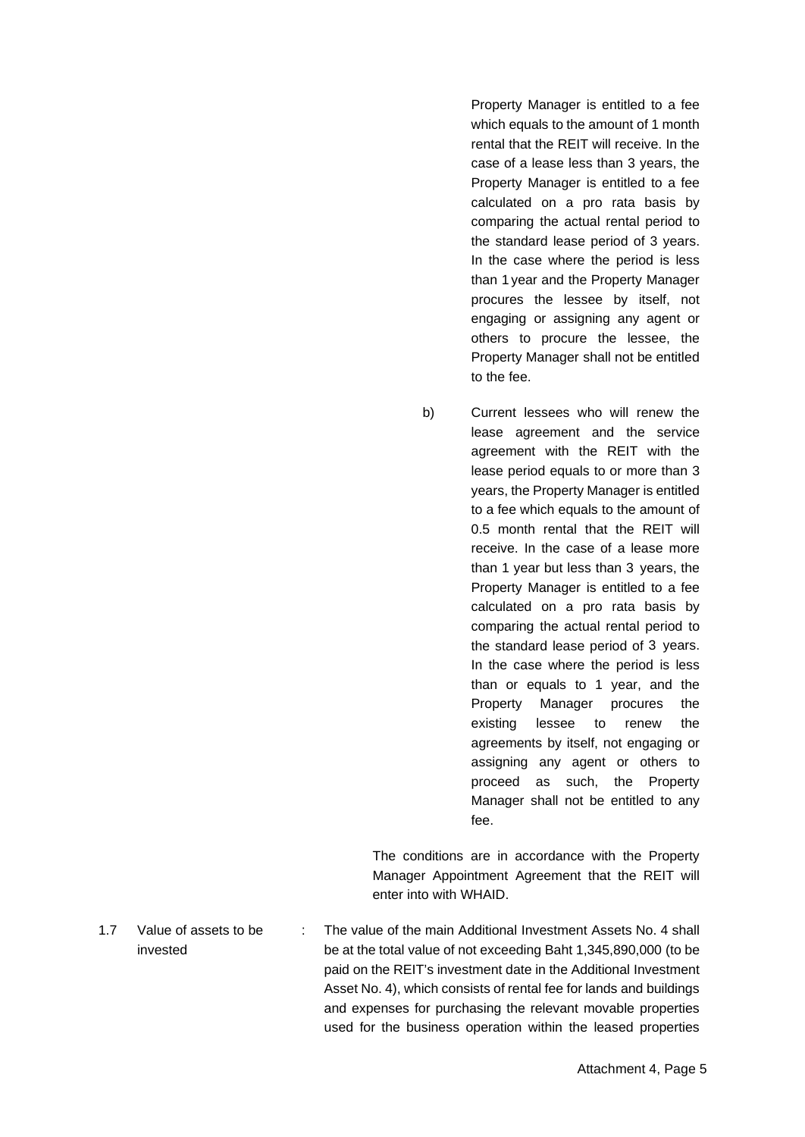Property Manager is entitled to a fee which equals to the amount of 1 month rental that the REIT will receive. In the case of a lease less than 3 years, the Property Manager is entitled to a fee calculated on a pro rata basis by comparing the actual rental period to the standard lease period of 3 years. In the case where the period is less than 1 year and the Property Manager procures the lessee by itself, not engaging or assigning any agent or others to procure the lessee, the Property Manager shall not be entitled to the fee.

b) Current lessees who will renew the lease agreement and the service agreement with the REIT with the lease period equals to or more than 3 years, the Property Manager is entitled to a fee which equals to the amount of 0.5 month rental that the REIT will receive. In the case of a lease more than 1 year but less than 3 years, the Property Manager is entitled to a fee calculated on a pro rata basis by comparing the actual rental period to the standard lease period of 3 years. In the case where the period is less than or equals to 1 year, and the Property Manager procures the existing lessee to renew the agreements by itself, not engaging or assigning any agent or others to proceed as such, the Property Manager shall not be entitled to any fee.

The conditions are in accordance with the Property Manager Appointment Agreement that the REIT will enter into with WHAID.

1.7 Value of assets to be invested : The value of the main Additional Investment Assets No. 4 shall be at the total value of not exceeding Baht 1,345,890,000 (to be paid on the REIT's investment date in the Additional Investment Asset No. 4), which consists of rental fee for lands and buildings and expenses for purchasing the relevant movable properties used for the business operation within the leased properties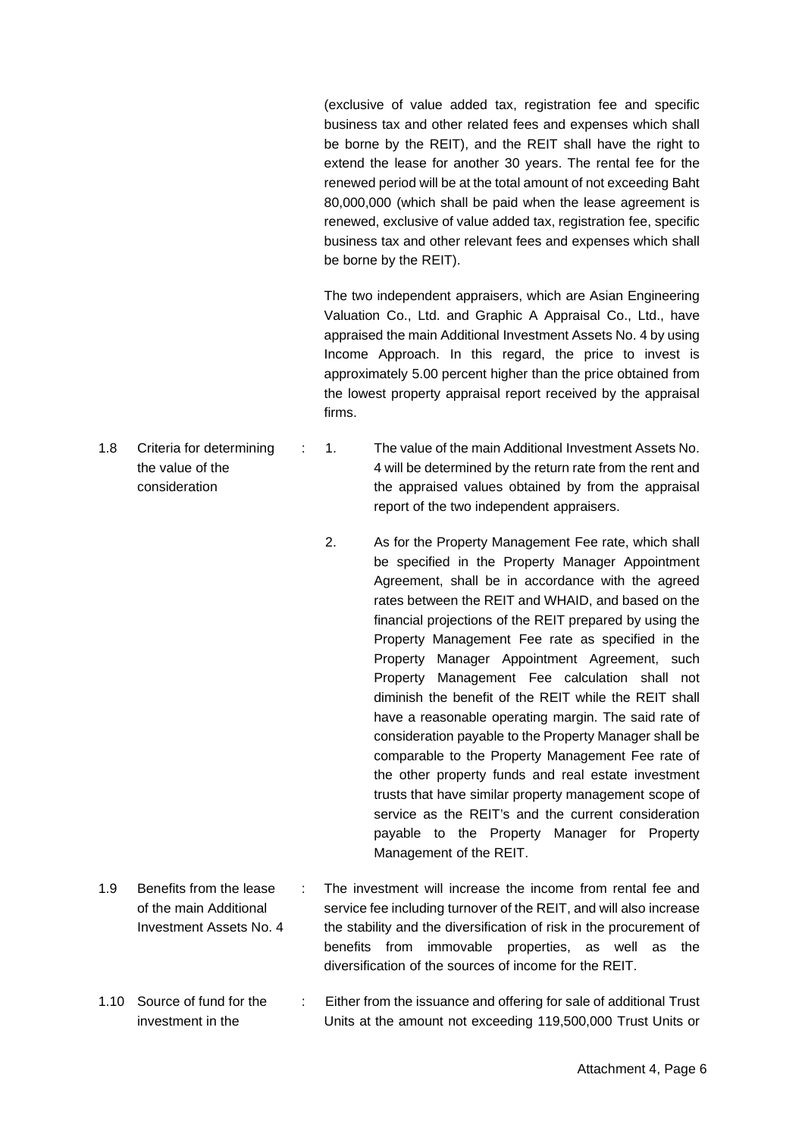(exclusive of value added tax, registration fee and specific business tax and other related fees and expenses which shall be borne by the REIT), and the REIT shall have the right to extend the lease for another 30 years. The rental fee for the renewed period will be at the total amount of not exceeding Baht 80,000,000 (which shall be paid when the lease agreement is renewed, exclusive of value added tax, registration fee, specific business tax and other relevant fees and expenses which shall be borne by the REIT).

The two independent appraisers, which are Asian Engineering Valuation Co., Ltd. and Graphic A Appraisal Co., Ltd., have appraised the main Additional Investment Assets No. 4 by using Income Approach. In this regard, the price to invest is approximately 5.00 percent higher than the price obtained from the lowest property appraisal report received by the appraisal firms.

- the value of the consideration : 1. The value of the main Additional Investment Assets No. 4 will be determined by the return rate from the rent and the appraised values obtained by from the appraisal report of the two independent appraisers.
	- 2. As for the Property Management Fee rate, which shall be specified in the Property Manager Appointment Agreement, shall be in accordance with the agreed rates between the REIT and WHAID, and based on the financial projections of the REIT prepared by using the Property Management Fee rate as specified in the Property Manager Appointment Agreement, such Property Management Fee calculation shall not diminish the benefit of the REIT while the REIT shall have a reasonable operating margin. The said rate of consideration payable to the Property Manager shall be comparable to the Property Management Fee rate of the other property funds and real estate investment trusts that have similar property management scope of service as the REIT's and the current consideration payable to the Property Manager for Property Management of the REIT.
- 1.9 Benefits from the lease of the main Additional Investment Assets No. 4 The investment will increase the income from rental fee and service fee including turnover of the REIT, and will also increase the stability and the diversification of risk in the procurement of benefits from immovable properties, as well as the diversification of the sources of income for the REIT.
- 1.10 Source of fund for the investment in the : Either from the issuance and offering for sale of additional Trust Units at the amount not exceeding 119,500,000 Trust Units or

1.8 Criteria for determining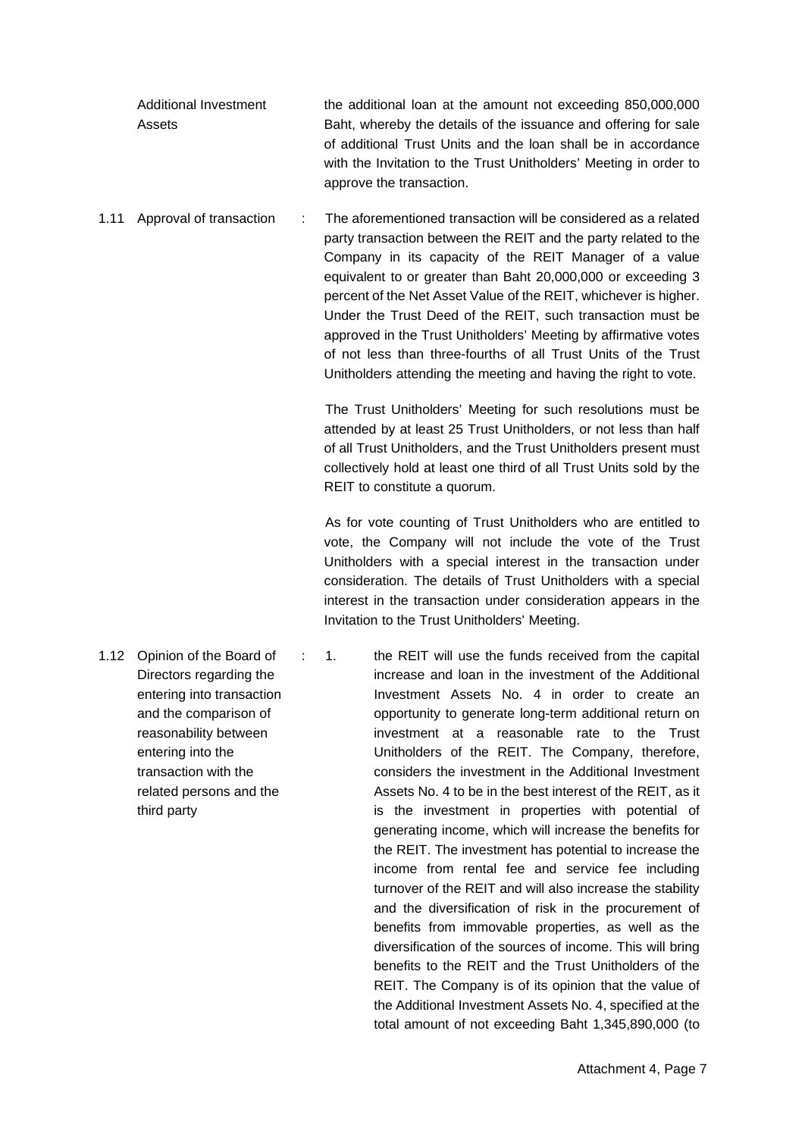| Additional Investment | the additional loan at the amount not exceeding 850,000,000       |
|-----------------------|-------------------------------------------------------------------|
| Assets                | Baht, whereby the details of the issuance and offering for sale   |
|                       | of additional Trust Units and the loan shall be in accordance     |
|                       | with the Invitation to the Trust Unitholders' Meeting in order to |
|                       | approve the transaction.                                          |

1.11 Approval of transaction : The aforementioned transaction will be considered as a related party transaction between the REIT and the party related to the Company in its capacity of the REIT Manager of a value equivalent to or greater than Baht 20,000,000 or exceeding 3 percent of the Net Asset Value of the REIT, whichever is higher. Under the Trust Deed of the REIT, such transaction must be approved in the Trust Unitholders' Meeting by affirmative votes of not less than three-fourths of all Trust Units of the Trust Unitholders attending the meeting and having the right to vote.

> The Trust Unitholders' Meeting for such resolutions must be attended by at least 25 Trust Unitholders, or not less than half of all Trust Unitholders, and the Trust Unitholders present must collectively hold at least one third of all Trust Units sold by the REIT to constitute a quorum.

> As for vote counting of Trust Unitholders who are entitled to vote, the Company will not include the vote of the Trust Unitholders with a special interest in the transaction under consideration. The details of Trust Unitholders with a special interest in the transaction under consideration appears in the Invitation to the Trust Unitholders' Meeting.

1.12 Opinion of the Board of Directors regarding the entering into transaction and the comparison of reasonability between entering into the transaction with the related persons and the third party : 1. the REIT will use the funds received from the capital increase and loan in the investment of the Additional Investment Assets No. 4 in order to create an opportunity to generate long-term additional return on investment at a reasonable rate to the Trust Unitholders of the REIT. The Company, therefore, considers the investment in the Additional Investment Assets No. 4 to be in the best interest of the REIT, as it is the investment in properties with potential of generating income, which will increase the benefits for the REIT. The investment has potential to increase the income from rental fee and service fee including turnover of the REIT and will also increase the stability and the diversification of risk in the procurement of benefits from immovable properties, as well as the diversification of the sources of income. This will bring benefits to the REIT and the Trust Unitholders of the REIT. The Company is of its opinion that the value of the Additional Investment Assets No. 4, specified at the

total amount of not exceeding Baht 1,345,890,000 (to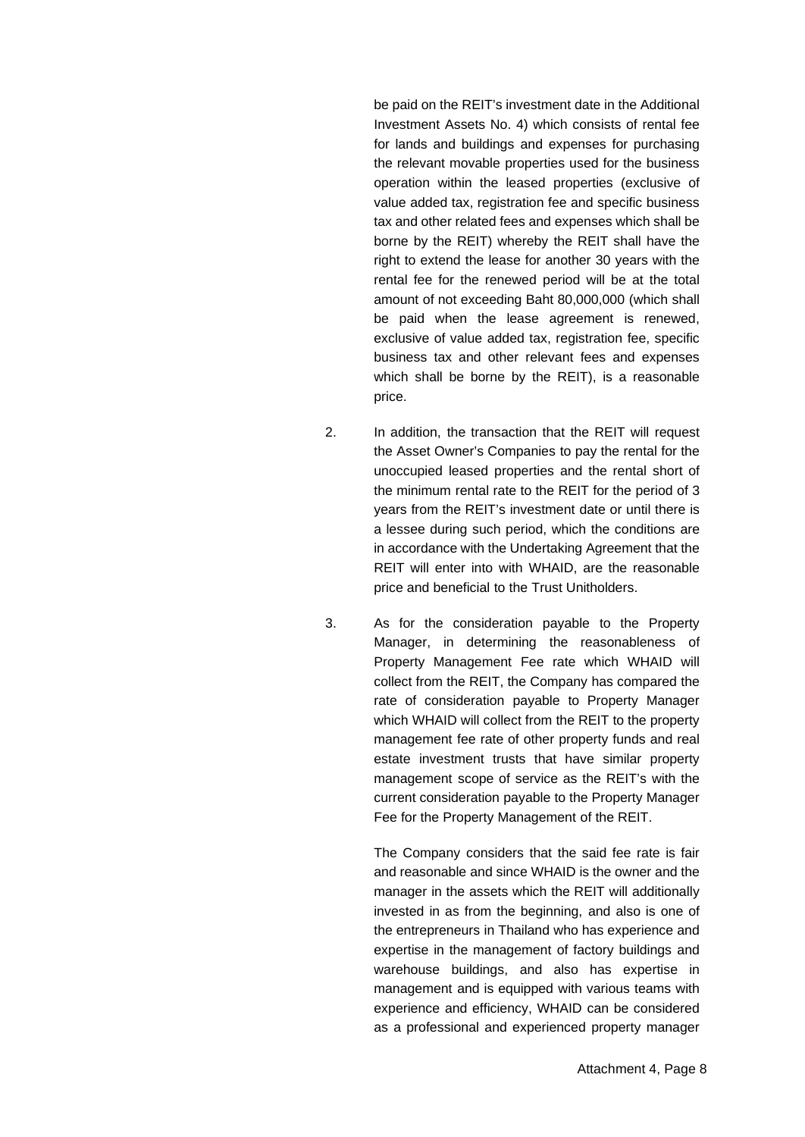be paid on the REIT's investment date in the Additional Investment Assets No. 4) which consists of rental fee for lands and buildings and expenses for purchasing the relevant movable properties used for the business operation within the leased properties (exclusive of value added tax, registration fee and specific business tax and other related fees and expenses which shall be borne by the REIT) whereby the REIT shall have the right to extend the lease for another 30 years with the rental fee for the renewed period will be at the total amount of not exceeding Baht 80,000,000 (which shall be paid when the lease agreement is renewed, exclusive of value added tax, registration fee, specific business tax and other relevant fees and expenses which shall be borne by the REIT), is a reasonable price.

- 2. In addition, the transaction that the REIT will request the Asset Owner's Companies to pay the rental for the unoccupied leased properties and the rental short of the minimum rental rate to the REIT for the period of 3 years from the REIT's investment date or until there is a lessee during such period, which the conditions are in accordance with the Undertaking Agreement that the REIT will enter into with WHAID, are the reasonable price and beneficial to the Trust Unitholders.
- 3. As for the consideration payable to the Property Manager, in determining the reasonableness of Property Management Fee rate which WHAID will collect from the REIT, the Company has compared the rate of consideration payable to Property Manager which WHAID will collect from the REIT to the property management fee rate of other property funds and real estate investment trusts that have similar property management scope of service as the REIT's with the current consideration payable to the Property Manager Fee for the Property Management of the REIT.

The Company considers that the said fee rate is fair and reasonable and since WHAID is the owner and the manager in the assets which the REIT will additionally invested in as from the beginning, and also is one of the entrepreneurs in Thailand who has experience and expertise in the management of factory buildings and warehouse buildings, and also has expertise in management and is equipped with various teams with experience and efficiency, WHAID can be considered as a professional and experienced property manager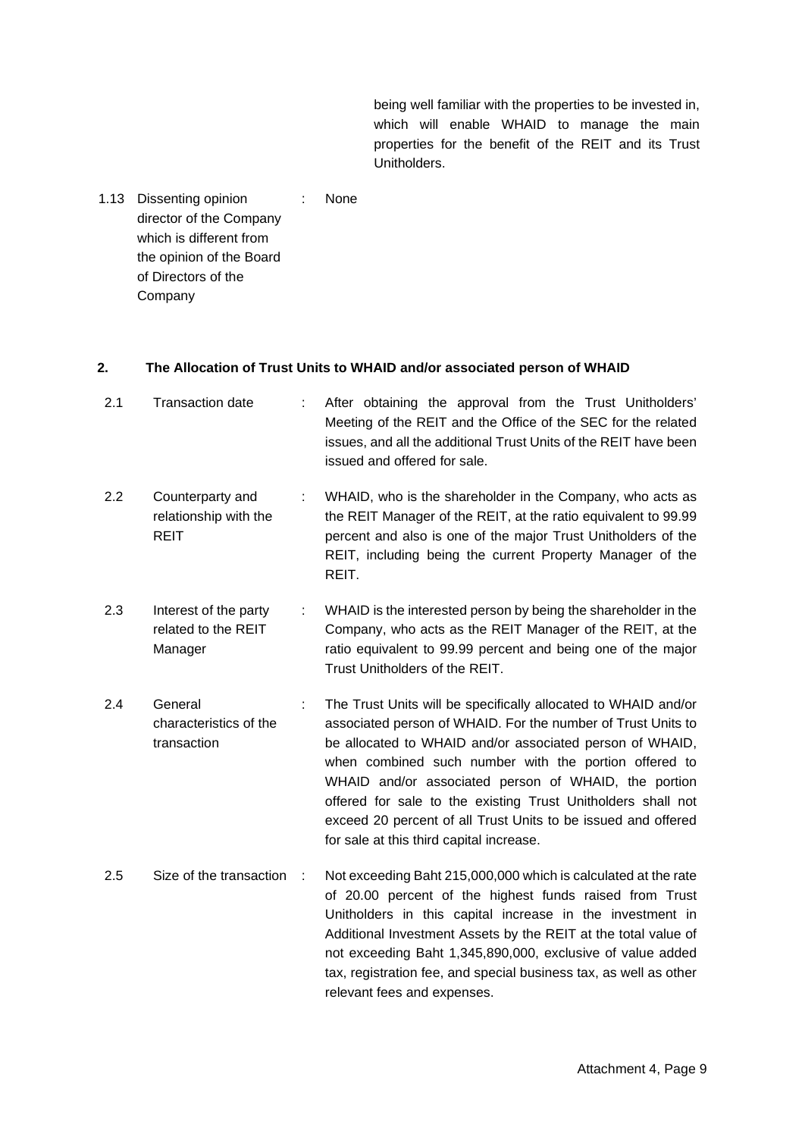being well familiar with the properties to be invested in, which will enable WHAID to manage the main properties for the benefit of the REIT and its Trust Unitholders.

1.13 Dissenting opinion director of the Company which is different from the opinion of the Board of Directors of the Company : None

## **2. The Allocation of Trust Units to WHAID and/or associated person of WHAID**

| 2.1 | <b>Transaction date</b>                                  |    | After obtaining the approval from the Trust Unitholders'<br>Meeting of the REIT and the Office of the SEC for the related<br>issues, and all the additional Trust Units of the REIT have been<br>issued and offered for sale.                                                                                                                                                                                                                                                            |
|-----|----------------------------------------------------------|----|------------------------------------------------------------------------------------------------------------------------------------------------------------------------------------------------------------------------------------------------------------------------------------------------------------------------------------------------------------------------------------------------------------------------------------------------------------------------------------------|
| 2.2 | Counterparty and<br>relationship with the<br><b>REIT</b> | ÷. | WHAID, who is the shareholder in the Company, who acts as<br>the REIT Manager of the REIT, at the ratio equivalent to 99.99<br>percent and also is one of the major Trust Unitholders of the<br>REIT, including being the current Property Manager of the<br>REIT.                                                                                                                                                                                                                       |
| 2.3 | Interest of the party<br>related to the REIT<br>Manager  | ÷. | WHAID is the interested person by being the shareholder in the<br>Company, who acts as the REIT Manager of the REIT, at the<br>ratio equivalent to 99.99 percent and being one of the major<br>Trust Unitholders of the REIT.                                                                                                                                                                                                                                                            |
| 2.4 | General<br>characteristics of the<br>transaction         |    | The Trust Units will be specifically allocated to WHAID and/or<br>associated person of WHAID. For the number of Trust Units to<br>be allocated to WHAID and/or associated person of WHAID,<br>when combined such number with the portion offered to<br>WHAID and/or associated person of WHAID, the portion<br>offered for sale to the existing Trust Unitholders shall not<br>exceed 20 percent of all Trust Units to be issued and offered<br>for sale at this third capital increase. |
| 2.5 | Size of the transaction                                  | ÷  | Not exceeding Baht 215,000,000 which is calculated at the rate<br>of 20.00 percent of the highest funds raised from Trust<br>Unitholders in this capital increase in the investment in<br>Additional Investment Assets by the REIT at the total value of<br>not exceeding Baht 1,345,890,000, exclusive of value added<br>tax, registration fee, and special business tax, as well as other<br>relevant fees and expenses.                                                               |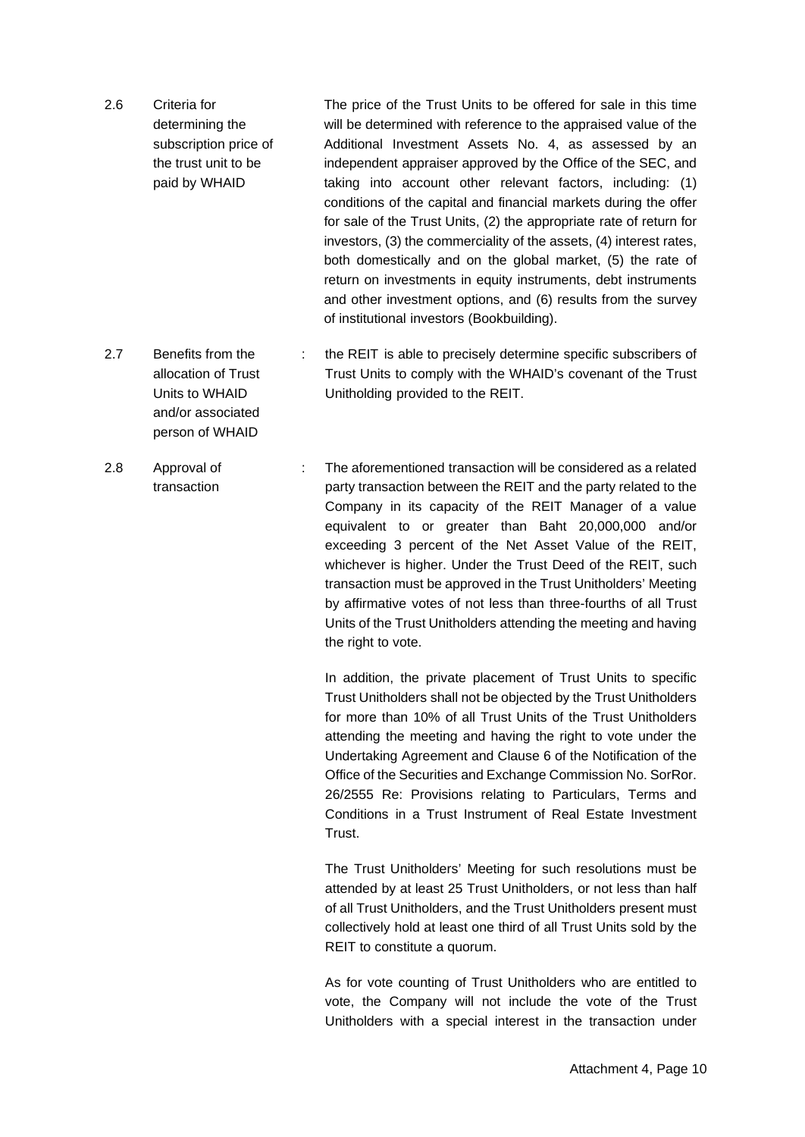- 2.6 Criteria for determining the subscription price of the trust unit to be paid by WHAID The price of the Trust Units to be offered for sale in this time will be determined with reference to the appraised value of the Additional Investment Assets No. 4, as assessed by an independent appraiser approved by the Office of the SEC, and taking into account other relevant factors, including: (1) conditions of the capital and financial markets during the offer for sale of the Trust Units, (2) the appropriate rate of return for investors, (3) the commerciality of the assets, (4) interest rates, both domestically and on the global market, (5) the rate of return on investments in equity instruments, debt instruments and other investment options, and (6) results from the survey of institutional investors (Bookbuilding).
- 2.7 Benefits from the allocation of Trust Units to WHAID and/or associated : the REIT is able to precisely determine specific subscribers of Trust Units to comply with the WHAID's covenant of the Trust Unitholding provided to the REIT.

person of WHAID

2.8 Approval of transaction : The aforementioned transaction will be considered as a related party transaction between the REIT and the party related to the Company in its capacity of the REIT Manager of a value equivalent to or greater than Baht 20,000,000 and/or exceeding 3 percent of the Net Asset Value of the REIT, whichever is higher. Under the Trust Deed of the REIT, such transaction must be approved in the Trust Unitholders' Meeting by affirmative votes of not less than three-fourths of all Trust Units of the Trust Unitholders attending the meeting and having the right to vote.

> In addition, the private placement of Trust Units to specific Trust Unitholders shall not be objected by the Trust Unitholders for more than 10% of all Trust Units of the Trust Unitholders attending the meeting and having the right to vote under the Undertaking Agreement and Clause 6 of the Notification of the Office of the Securities and Exchange Commission No. SorRor. 26/2555 Re: Provisions relating to Particulars, Terms and Conditions in a Trust Instrument of Real Estate Investment Trust.

> The Trust Unitholders' Meeting for such resolutions must be attended by at least 25 Trust Unitholders, or not less than half of all Trust Unitholders, and the Trust Unitholders present must collectively hold at least one third of all Trust Units sold by the REIT to constitute a quorum.

> As for vote counting of Trust Unitholders who are entitled to vote, the Company will not include the vote of the Trust Unitholders with a special interest in the transaction under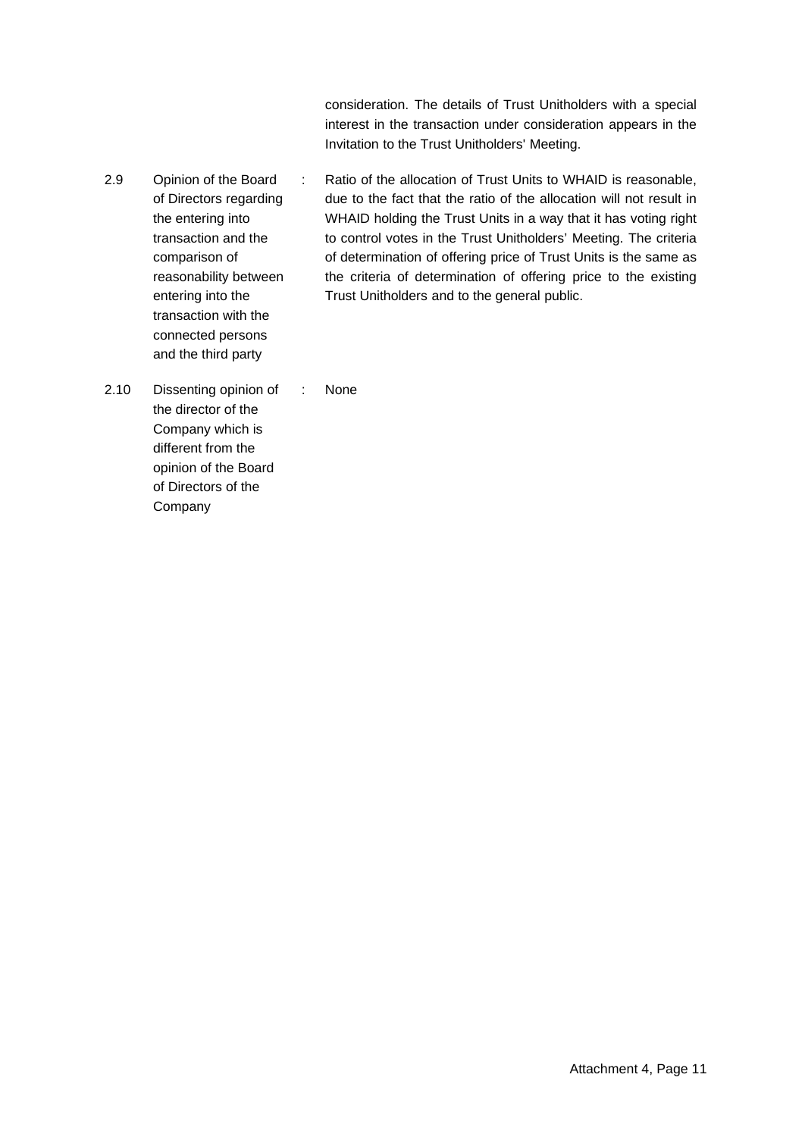consideration. The details of Trust Unitholders with a special interest in the transaction under consideration appears in the Invitation to the Trust Unitholders' Meeting.

- 2.9 Opinion of the Board of Directors regarding the entering into transaction and the comparison of reasonability between entering into the transaction with the : Ratio of the allocation of Trust Units to WHAID is reasonable, due to the fact that the ratio of the allocation will not result in WHAID holding the Trust Units in a way that it has voting right to control votes in the Trust Unitholders' Meeting. The criteria of determination of offering price of Trust Units is the same as the criteria of determination of offering price to the existing Trust Unitholders and to the general public.
- 2.10 Dissenting opinion of the director of the Company which is different from the opinion of the Board of Directors of the Company : None

connected persons and the third party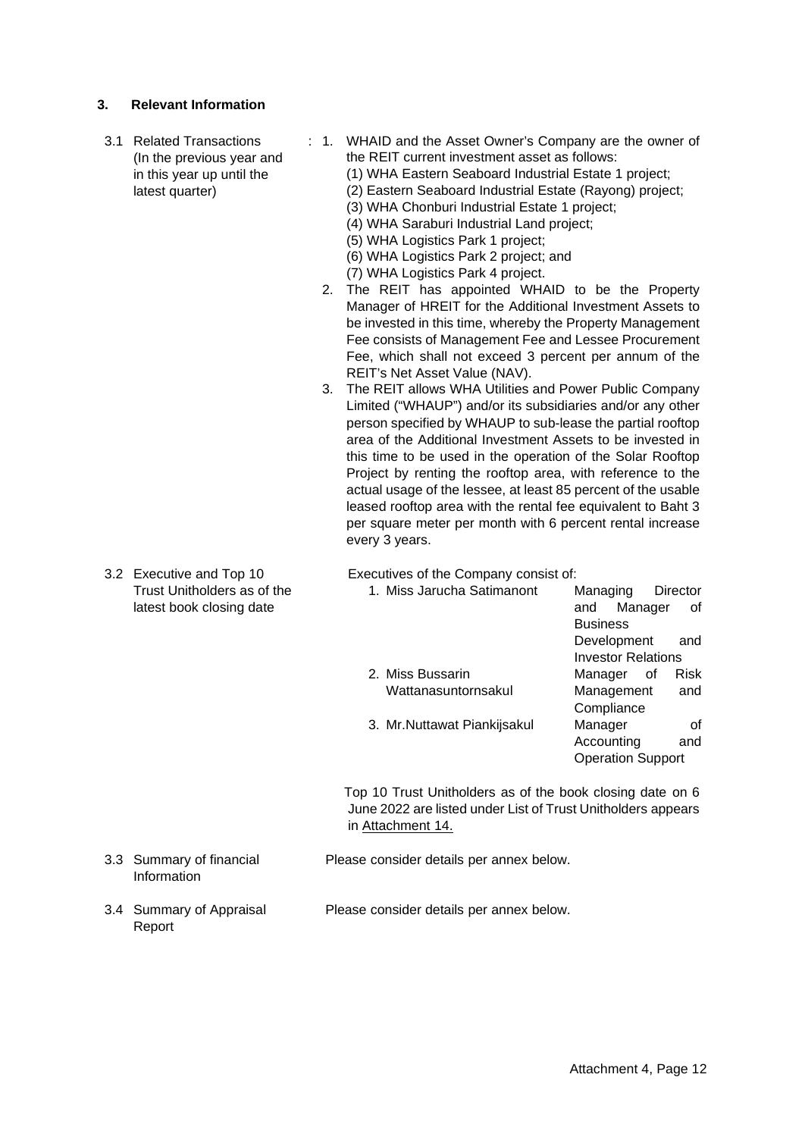## **3. Relevant Information**

- 3.1 Related Transactions (In the previous year and in this year up until the latest quarter)
- : 1. WHAID and the Asset Owner's Company are the owner of the REIT current investment asset as follows:
	- (1) WHA Eastern Seaboard Industrial Estate 1 project;
	- (2) Eastern Seaboard Industrial Estate (Rayong) project;
	- (3) WHA Chonburi Industrial Estate 1 project;
	- (4) WHA Saraburi Industrial Land project;
	- (5) WHA Logistics Park 1 project;
	- (6) WHA Logistics Park 2 project; and
	- (7) WHA Logistics Park 4 project.
	- 2. The REIT has appointed WHAID to be the Property Manager of HREIT for the Additional Investment Assets to be invested in this time, whereby the Property Management Fee consists of Management Fee and Lessee Procurement Fee, which shall not exceed 3 percent per annum of the REIT's Net Asset Value (NAV).
	- 3. The REIT allows WHA Utilities and Power Public Company Limited ("WHAUP") and/or its subsidiaries and/or any other person specified by WHAUP to sub-lease the partial rooftop area of the Additional Investment Assets to be invested in this time to be used in the operation of the Solar Rooftop Project by renting the rooftop area, with reference to the actual usage of the lessee, at least 85 percent of the usable leased rooftop area with the rental fee equivalent to Baht 3 per square meter per month with 6 percent rental increase every 3 years.
- 3.2 Executive and Top 10 Trust Unitholders as of the latest book closing date

Executives of the Company consist of:

| 1. Miss Jarucha Satimanont   | Managing<br>Director      |
|------------------------------|---------------------------|
|                              | Manager<br>and<br>οf      |
|                              | <b>Business</b>           |
|                              | Development<br>and        |
|                              | <b>Investor Relations</b> |
| 2. Miss Bussarin             | Risk<br>Manager<br>. of   |
| Wattanasuntornsakul          | Management<br>and         |
|                              | Compliance                |
| 3. Mr. Nuttawat Piankijsakul | Manager<br>Ωf             |
|                              | Accounting<br>and         |
|                              | <b>Operation Support</b>  |

 Top 10 Trust Unitholders as of the book closing date on 6 June 2022 are listed under List of Trust Unitholders appears in Attachment 14.

- 3.3 Summary of financial Information Please consider details per annex below.
- 3.4 Summary of Appraisal Report Please consider details per annex below.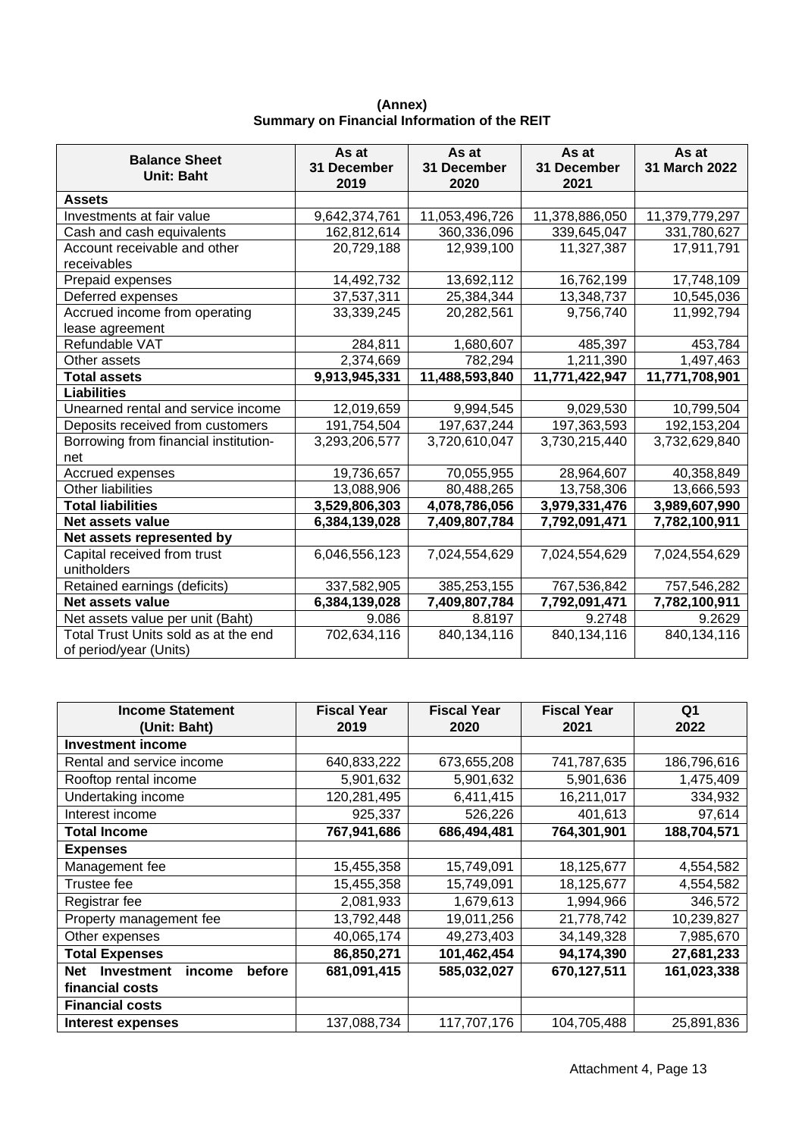|                                       | As at               | As at               | As at               | As at          |
|---------------------------------------|---------------------|---------------------|---------------------|----------------|
| <b>Balance Sheet</b><br>Unit: Baht    | 31 December<br>2019 | 31 December<br>2020 | 31 December<br>2021 | 31 March 2022  |
| <b>Assets</b>                         |                     |                     |                     |                |
| Investments at fair value             | 9,642,374,761       | 11,053,496,726      | 11,378,886,050      | 11,379,779,297 |
| Cash and cash equivalents             | 162,812,614         | 360,336,096         | 339,645,047         | 331,780,627    |
| Account receivable and other          | 20,729,188          | 12,939,100          | 11,327,387          | 17,911,791     |
| receivables                           |                     |                     |                     |                |
| Prepaid expenses                      | 14,492,732          | 13,692,112          | 16,762,199          | 17,748,109     |
| Deferred expenses                     | 37,537,311          | 25,384,344          | 13,348,737          | 10,545,036     |
| Accrued income from operating         | 33,339,245          | 20,282,561          | 9,756,740           | 11,992,794     |
| lease agreement                       |                     |                     |                     |                |
| Refundable VAT                        | 284,811             | 1,680,607           | 485,397             | 453,784        |
| Other assets                          | 2,374,669           | 782,294             | 1,211,390           | 1,497,463      |
| <b>Total assets</b>                   | 9,913,945,331       | 11,488,593,840      | 11,771,422,947      | 11,771,708,901 |
| <b>Liabilities</b>                    |                     |                     |                     |                |
| Unearned rental and service income    | 12,019,659          | 9,994,545           | 9,029,530           | 10,799,504     |
| Deposits received from customers      | 191,754,504         | 197,637,244         | 197,363,593         | 192, 153, 204  |
| Borrowing from financial institution- | 3,293,206,577       | 3,720,610,047       | 3,730,215,440       | 3,732,629,840  |
| net                                   |                     |                     |                     |                |
| Accrued expenses                      | 19,736,657          | 70,055,955          | 28,964,607          | 40,358,849     |
| Other liabilities                     | 13,088,906          | 80,488,265          | 13,758,306          | 13,666,593     |
| <b>Total liabilities</b>              | 3,529,806,303       | 4,078,786,056       | 3,979,331,476       | 3,989,607,990  |
| Net assets value                      | 6,384,139,028       | 7,409,807,784       | 7,792,091,471       | 7,782,100,911  |
| Net assets represented by             |                     |                     |                     |                |
| Capital received from trust           | 6,046,556,123       | 7,024,554,629       | 7,024,554,629       | 7,024,554,629  |
| unitholders                           |                     |                     |                     |                |
| Retained earnings (deficits)          | 337,582,905         | 385,253,155         | 767,536,842         | 757,546,282    |
| <b>Net assets value</b>               | 6,384,139,028       | 7,409,807,784       | 7,792,091,471       | 7,782,100,911  |
| Net assets value per unit (Baht)      | 9.086               | 8.8197              | 9.2748              | 9.2629         |
| Total Trust Units sold as at the end  | 702,634,116         | 840,134,116         | 840,134,116         | 840,134,116    |
| of period/year (Units)                |                     |                     |                     |                |

**(Annex) Summary on Financial Information of the REIT**

| <b>Income Statement</b>                             | <b>Fiscal Year</b> | <b>Fiscal Year</b> | <b>Fiscal Year</b> | Q <sub>1</sub> |
|-----------------------------------------------------|--------------------|--------------------|--------------------|----------------|
| (Unit: Baht)                                        | 2019               | 2020               | 2021               | 2022           |
| <b>Investment income</b>                            |                    |                    |                    |                |
| Rental and service income                           | 640,833,222        | 673,655,208        | 741,787,635        | 186,796,616    |
| Rooftop rental income                               | 5,901,632          | 5,901,632          | 5,901,636          | 1,475,409      |
| Undertaking income                                  | 120,281,495        | 6,411,415          | 16,211,017         | 334,932        |
| Interest income                                     | 925,337            | 526,226            | 401,613            | 97,614         |
| Total Income                                        | 767,941,686        | 686,494,481        | 764,301,901        | 188,704,571    |
| <b>Expenses</b>                                     |                    |                    |                    |                |
| Management fee                                      | 15,455,358         | 15,749,091         | 18,125,677         | 4,554,582      |
| Trustee fee                                         | 15,455,358         | 15,749,091         | 18,125,677         | 4,554,582      |
| Registrar fee                                       | 2,081,933          | 1,679,613          | 1,994,966          | 346,572        |
| Property management fee                             | 13,792,448         | 19,011,256         | 21,778,742         | 10,239,827     |
| Other expenses                                      | 40,065,174         | 49,273,403         | 34,149,328         | 7,985,670      |
| <b>Total Expenses</b>                               | 86,850,271         | 101,462,454        | 94,174,390         | 27,681,233     |
| before<br><b>Net</b><br><b>Investment</b><br>income | 681,091,415        | 585,032,027        | 670,127,511        | 161,023,338    |
| financial costs                                     |                    |                    |                    |                |
| <b>Financial costs</b>                              |                    |                    |                    |                |
| Interest expenses                                   | 137,088,734        | 117,707,176        | 104,705,488        | 25,891,836     |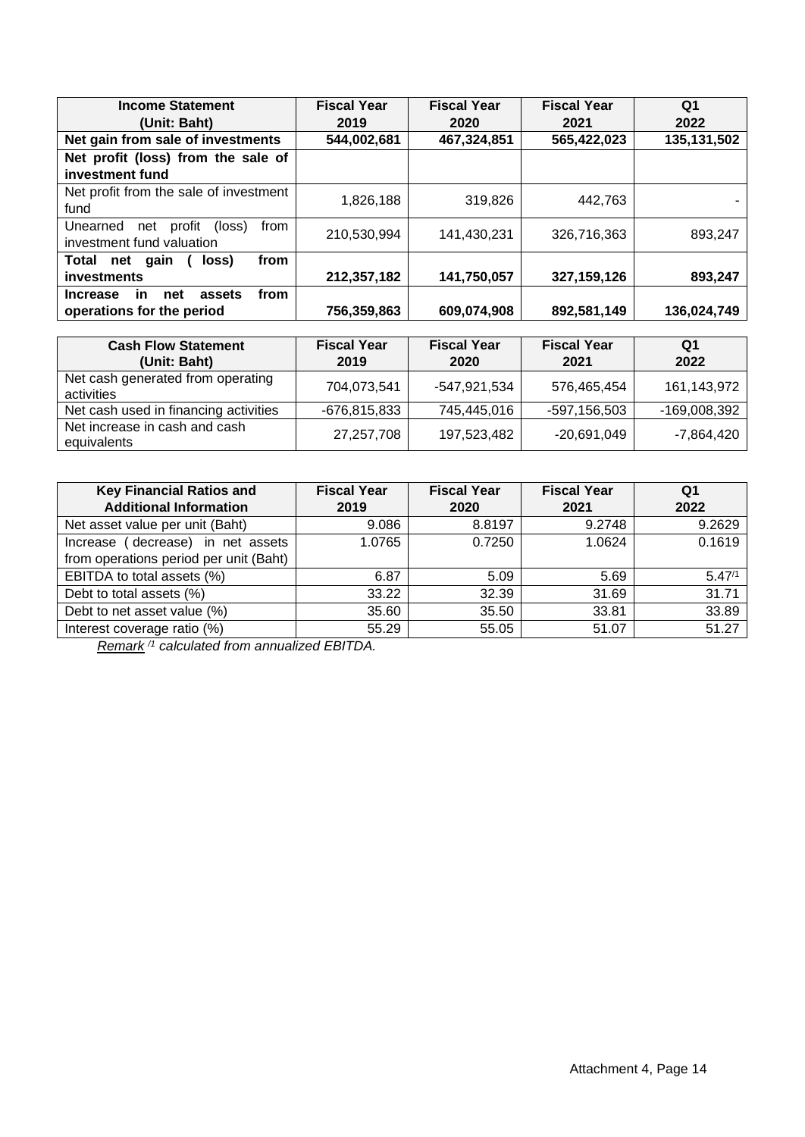| <b>Income Statement</b>                               | <b>Fiscal Year</b> | <b>Fiscal Year</b> | <b>Fiscal Year</b> | Q1          |
|-------------------------------------------------------|--------------------|--------------------|--------------------|-------------|
| (Unit: Baht)                                          | 2019               | 2020               | 2021               | 2022        |
| Net gain from sale of investments                     | 544,002,681        | 467,324,851        | 565,422,023        | 135,131,502 |
| Net profit (loss) from the sale of                    |                    |                    |                    |             |
| investment fund                                       |                    |                    |                    |             |
| Net profit from the sale of investment                | 1,826,188          | 319,826            | 442.763            |             |
| fund                                                  |                    |                    |                    |             |
| Unearned<br>profit<br>net<br>(loss)<br>from           | 210,530,994        | 141,430,231        | 326,716,363        | 893.247     |
| investment fund valuation                             |                    |                    |                    |             |
| from<br>Total<br>net<br>gain<br>loss)                 |                    |                    |                    |             |
| investments                                           | 212,357,182        | 141,750,057        | 327,159,126        | 893,247     |
| from<br>assets<br><b>Increase</b><br><b>in</b><br>net |                    |                    |                    |             |
| operations for the period                             | 756,359,863        | 609,074,908        | 892,581,149        | 136,024,749 |

| <b>Cash Flow Statement</b><br>(Unit: Baht)      | <b>Fiscal Year</b><br>2019 | <b>Fiscal Year</b><br>2020 | <b>Fiscal Year</b><br>2021 | Q1<br>2022   |
|-------------------------------------------------|----------------------------|----------------------------|----------------------------|--------------|
| Net cash generated from operating<br>activities | 704,073,541                | -547.921.534               | 576,465,454                | 161,143,972  |
| Net cash used in financing activities           | -676,815,833               | 745,445,016                | -597,156,503               | -169,008,392 |
| Net increase in cash and cash<br>equivalents    | 27,257,708                 | 197,523,482                | $-20,691,049$              | -7,864,420   |

| <b>Key Financial Ratios and</b><br><b>Additional Information</b>            | <b>Fiscal Year</b><br>2019 | <b>Fiscal Year</b><br>2020 | <b>Fiscal Year</b><br>2021 | Q <sub>1</sub><br>2022 |
|-----------------------------------------------------------------------------|----------------------------|----------------------------|----------------------------|------------------------|
| Net asset value per unit (Baht)                                             | 9.086                      | 8.8197                     | 9.2748                     | 9.2629                 |
| Increase (decrease) in net assets<br>from operations period per unit (Baht) | 1.0765                     | 0.7250                     | 1.0624                     | 0.1619                 |
| EBITDA to total assets (%)                                                  | 6.87                       | 5.09                       | 5.69                       | $5.47^{1}$             |
| Debt to total assets (%)                                                    | 33.22                      | 32.39                      | 31.69                      | 31.71                  |
| Debt to net asset value (%)                                                 | 35.60                      | 35.50                      | 33.81                      | 33.89                  |
| Interest coverage ratio (%)                                                 | 55.29                      | 55.05                      | 51.07                      | 51.27                  |

*Remark /1 calculated from annualized EBITDA.*